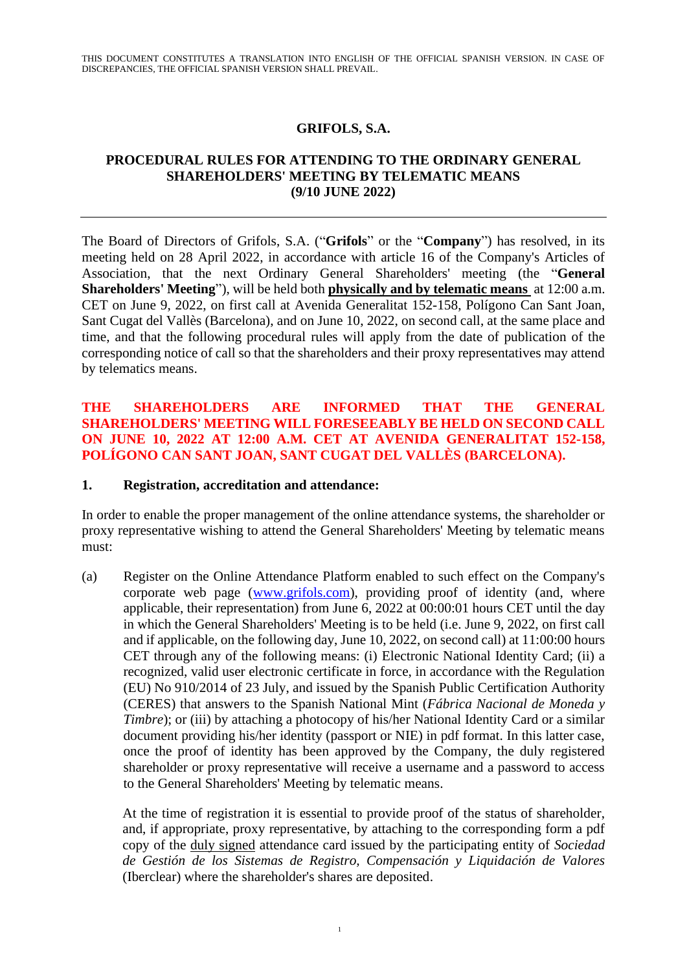## **GRIFOLS, S.A.**

### **PROCEDURAL RULES FOR ATTENDING TO THE ORDINARY GENERAL SHAREHOLDERS' MEETING BY TELEMATIC MEANS (9/10 JUNE 2022)**

The Board of Directors of Grifols, S.A. ("**Grifols**" or the "**Company**") has resolved, in its meeting held on 28 April 2022, in accordance with article 16 of the Company's Articles of Association, that the next Ordinary General Shareholders' meeting (the "**General Shareholders' Meeting**"), will be held both **physically and by telematic means** at 12:00 a.m. CET on June 9, 2022, on first call at Avenida Generalitat 152-158, Polígono Can Sant Joan, Sant Cugat del Vallès (Barcelona), and on June 10, 2022, on second call, at the same place and time, and that the following procedural rules will apply from the date of publication of the corresponding notice of call so that the shareholders and their proxy representatives may attend by telematics means.

### **THE SHAREHOLDERS ARE INFORMED THAT THE GENERAL SHAREHOLDERS' MEETING WILL FORESEEABLY BE HELD ON SECOND CALL ON JUNE 10, 2022 AT 12:00 A.M. CET AT AVENIDA GENERALITAT 152-158, POLÍGONO CAN SANT JOAN, SANT CUGAT DEL VALLÈS (BARCELONA).**

#### **1. Registration, accreditation and attendance:**

In order to enable the proper management of the online attendance systems, the shareholder or proxy representative wishing to attend the General Shareholders' Meeting by telematic means must:

(a) Register on the Online Attendance Platform enabled to such effect on the Company's corporate web page [\(www.grifols.com\)](http://www.grifols.com/), providing proof of identity (and, where applicable, their representation) from June 6, 2022 at 00:00:01 hours CET until the day in which the General Shareholders' Meeting is to be held (i.e. June 9, 2022, on first call and if applicable, on the following day, June 10, 2022, on second call) at 11:00:00 hours CET through any of the following means: (i) Electronic National Identity Card; (ii) a recognized, valid user electronic certificate in force, in accordance with the Regulation (EU) No 910/2014 of 23 July, and issued by the Spanish Public Certification Authority (CERES) that answers to the Spanish National Mint (*Fábrica Nacional de Moneda y Timbre*); or (iii) by attaching a photocopy of his/her National Identity Card or a similar document providing his/her identity (passport or NIE) in pdf format. In this latter case, once the proof of identity has been approved by the Company, the duly registered shareholder or proxy representative will receive a username and a password to access to the General Shareholders' Meeting by telematic means.

At the time of registration it is essential to provide proof of the status of shareholder, and, if appropriate, proxy representative, by attaching to the corresponding form a pdf copy of the duly signed attendance card issued by the participating entity of *Sociedad de Gestión de los Sistemas de Registro, Compensación y Liquidación de Valores* (Iberclear) where the shareholder's shares are deposited.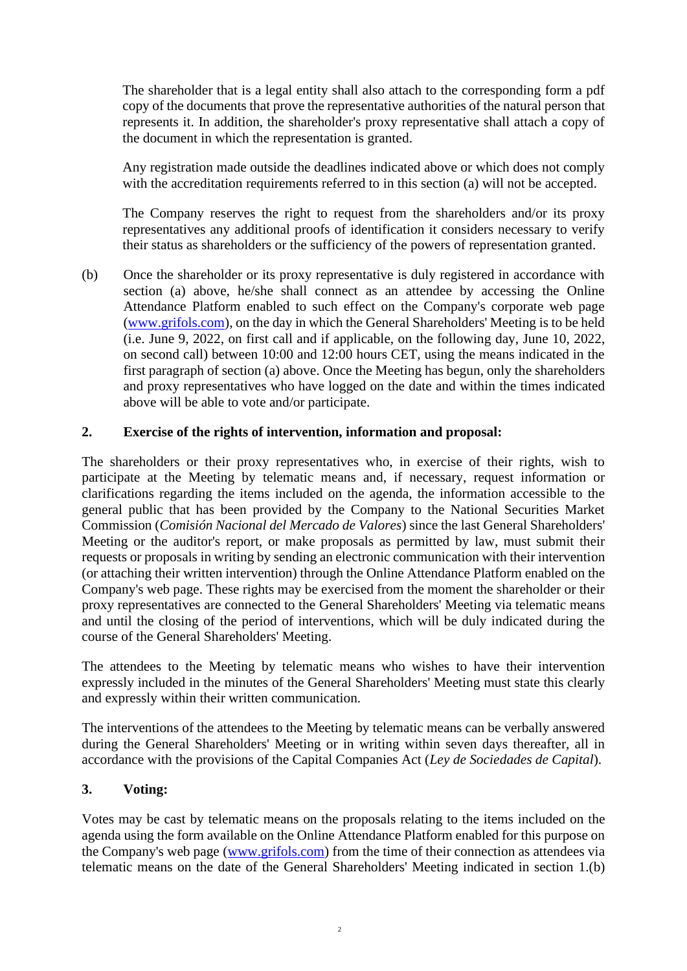The shareholder that is a legal entity shall also attach to the corresponding form a pdf copy of the documents that prove the representative authorities of the natural person that represents it. In addition, the shareholder's proxy representative shall attach a copy of the document in which the representation is granted.

Any registration made outside the deadlines indicated above or which does not comply with the accreditation requirements referred to in this section (a) will not be accepted.

The Company reserves the right to request from the shareholders and/or its proxy representatives any additional proofs of identification it considers necessary to verify their status as shareholders or the sufficiency of the powers of representation granted.

(b) Once the shareholder or its proxy representative is duly registered in accordance with section (a) above, he/she shall connect as an attendee by accessing the Online Attendance Platform enabled to such effect on the Company's corporate web page [\(www.grifols.com\)](http://www.grifols.com/), on the day in which the General Shareholders' Meeting is to be held (i.e. June 9, 2022, on first call and if applicable, on the following day, June 10, 2022, on second call) between 10:00 and 12:00 hours CET, using the means indicated in the first paragraph of section (a) above. Once the Meeting has begun, only the shareholders and proxy representatives who have logged on the date and within the times indicated above will be able to vote and/or participate.

## **2. Exercise of the rights of intervention, information and proposal:**

The shareholders or their proxy representatives who, in exercise of their rights, wish to participate at the Meeting by telematic means and, if necessary, request information or clarifications regarding the items included on the agenda, the information accessible to the general public that has been provided by the Company to the National Securities Market Commission (*Comisión Nacional del Mercado de Valores*) since the last General Shareholders' Meeting or the auditor's report, or make proposals as permitted by law, must submit their requests or proposals in writing by sending an electronic communication with their intervention (or attaching their written intervention) through the Online Attendance Platform enabled on the Company's web page. These rights may be exercised from the moment the shareholder or their proxy representatives are connected to the General Shareholders' Meeting via telematic means and until the closing of the period of interventions, which will be duly indicated during the course of the General Shareholders' Meeting.

The attendees to the Meeting by telematic means who wishes to have their intervention expressly included in the minutes of the General Shareholders' Meeting must state this clearly and expressly within their written communication.

The interventions of the attendees to the Meeting by telematic means can be verbally answered during the General Shareholders' Meeting or in writing within seven days thereafter, all in accordance with the provisions of the Capital Companies Act (*Ley de Sociedades de Capital*).

# **3. Voting:**

Votes may be cast by telematic means on the proposals relating to the items included on the agenda using the form available on the Online Attendance Platform enabled for this purpose on the Company's web page [\(www.grifols.com\)](http://www.grifols.com/) from the time of their connection as attendees via telematic means on the date of the General Shareholders' Meeting indicated in section 1.(b)